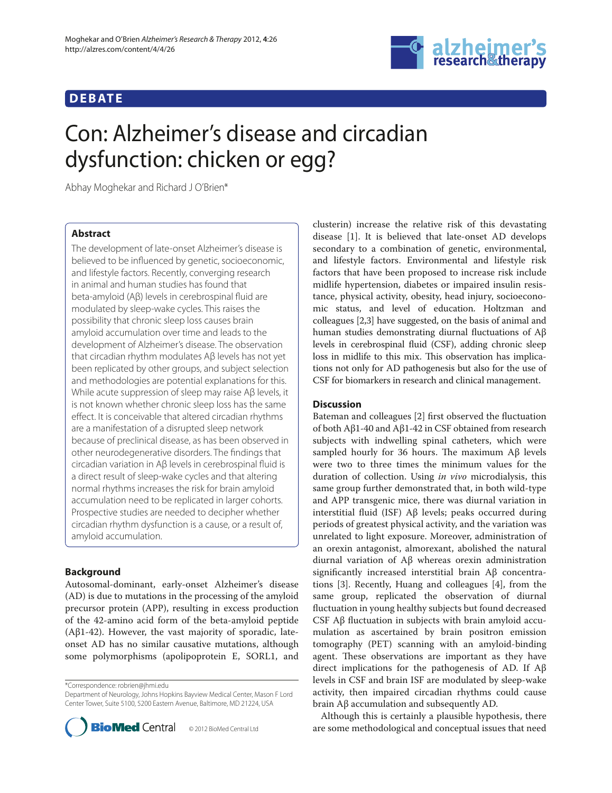# **DEBAT E**



# Con: Alzheimer's disease and circadian dysfunction: chicken or egg?

Abhay Moghekar and Richard J O'Brien\*

# **Abstract**

The development of late-onset Alzheimer's disease is believed to be influenced by genetic, socioeconomic, and lifestyle factors. Recently, converging research in animal and human studies has found that beta-amyloid (Aβ) levels in cerebrospinal fluid are modulated by sleep-wake cycles. This raises the possibility that chronic sleep loss causes brain amyloid accumulation over time and leads to the development of Alzheimer's disease. The observation that circadian rhythm modulates Aβ levels has not yet been replicated by other groups, and subject selection and methodologies are potential explanations for this. While acute suppression of sleep may raise Aβ levels, it is not known whether chronic sleep loss has the same effect. It is conceivable that altered circadian rhythms are a manifestation of a disrupted sleep network because of preclinical disease, as has been observed in other neurodegenerative disorders. The findings that circadian variation in Aβ levels in cerebrospinal fluid is a direct result of sleep-wake cycles and that altering normal rhythms increases the risk for brain amyloid accumulation need to be replicated in larger cohorts. Prospective studies are needed to decipher whether circadian rhythm dysfunction is a cause, or a result of, amyloid accumulation.

## **Background**

Autosomal-dominant, early-onset Alzheimer's disease (AD) is due to mutations in the processing of the amyloid precursor protein (APP), resulting in excess production of the 42-amino acid form of the beta-amyloid peptide (Aβ1-42). However, the vast majority of sporadic, lateonset AD has no similar causative mutations, although some polymorphisms (apolipoprotein E, SORL1, and

\*Correspondence: robrien@jhmi.edu

Department of Neurology, Johns Hopkins Bayview Medical Center, Mason F Lord Center Tower, Suite 5100, 5200 Eastern Avenue, Baltimore, MD 21224, USA



clusterin) increase the relative risk of this devastating disease [1]. It is believed that late-onset AD develops secondary to a combination of genetic, environmental, and lifestyle factors. Environmental and lifestyle risk factors that have been proposed to increase risk include midlife hypertension, diabetes or impaired insulin resistance, physical activity, obesity, head injury, socioeconomic status, and level of education. Holtzman and colleagues [2,3] have suggested, on the basis of animal and human studies demonstrating diurnal fluctuations of Aβ levels in cerebrospinal fluid (CSF), adding chronic sleep loss in midlife to this mix. This observation has implications not only for AD pathogenesis but also for the use of CSF for biomarkers in research and clinical management.

## **Discussion**

Bateman and colleagues [2] first observed the fluctuation of both Aβ1-40 and Aβ1-42 in CSF obtained from research subjects with indwelling spinal catheters, which were sampled hourly for 36 hours. The maximum  $\overrightarrow{AB}$  levels were two to three times the minimum values for the duration of collection. Using *in vivo* microdialysis, this same group further demonstrated that, in both wild-type and APP transgenic mice, there was diurnal variation in interstitial fluid (ISF) Aβ levels; peaks occurred during periods of greatest physical activity, and the variation was unrelated to light exposure. Moreover, administration of an orexin antagonist, almorexant, abolished the natural diurnal variation of Aβ whereas orexin administration significantly increased interstitial brain Aβ concentrations [3]. Recently, Huang and colleagues [4], from the same group, replicated the observation of diurnal fluctuation in young healthy subjects but found decreased CSF Aβ fluctuation in subjects with brain amyloid accumulation as ascertained by brain positron emission tomography (PET) scanning with an amyloid-binding agent. These observations are important as they have direct implications for the pathogenesis of AD. If Aβ levels in CSF and brain ISF are modulated by sleep-wake activity, then impaired circadian rhythms could cause brain Aβ accumulation and subsequently AD.

Although this is certainly a plausible hypothesis, there are some methodological and conceptual issues that need